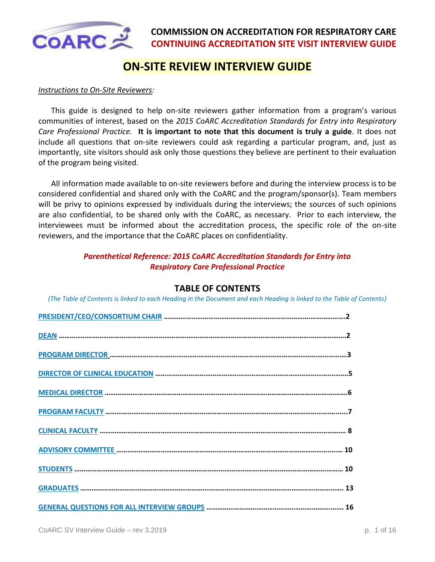

# **ON-SITE REVIEW INTERVIEW GUIDE**

#### *Instructions to On-Site Reviewers:*

This guide is designed to help on-site reviewers gather information from a program's various communities of interest, based on the *2015 CoARC Accreditation Standards for Entry into Respiratory Care Professional Practice.* **It is important to note that this document is truly a guide**. It does not include all questions that on-site reviewers could ask regarding a particular program, and, just as importantly, site visitors should ask only those questions they believe are pertinent to their evaluation of the program being visited.

All information made available to on-site reviewers before and during the interview process is to be considered confidential and shared only with the CoARC and the program/sponsor(s). Team members will be privy to opinions expressed by individuals during the interviews; the sources of such opinions are also confidential, to be shared only with the CoARC, as necessary. Prior to each interview, the interviewees must be informed about the accreditation process, the specific role of the on-site reviewers, and the importance that the CoARC places on confidentiality.

### *Parenthetical Reference: 2015 CoARC Accreditation Standards for Entry into Respiratory Care Professional Practice*

### **TABLE OF CONTENTS**

<span id="page-0-0"></span>*(The Table of Contents is linked to each Heading in the Document and each Heading is linked to the Table of Contents)*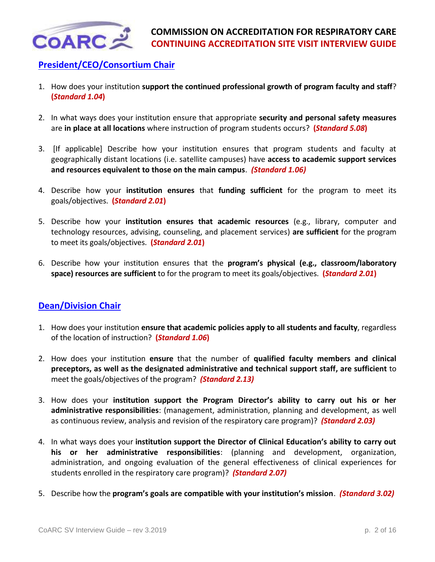

# <span id="page-1-0"></span>**[President/CEO/Consortium Chair](#page-0-0)**

- 1. How does your institution **support the continued professional growth of program faculty and staff**? **(***Standard 1.04***)**
- 2. In what ways does your institution ensure that appropriate **security and personal safety measures** are **in place at all locations** where instruction of program students occurs? **(***Standard 5.08***)**
- 3. [If applicable] Describe how your institution ensures that program students and faculty at geographically distant locations (i.e. satellite campuses) have **access to academic support services and resources equivalent to those on the main campus**. *(Standard 1.06)*
- 4. Describe how your **institution ensures** that **funding sufficient** for the program to meet its goals/objectives. **(***Standard 2.01***)**
- 5. Describe how your **institution ensures that academic resources** (e.g., library, computer and technology resources, advising, counseling, and placement services) **are sufficient** for the program to meet its goals/objectives. **(***Standard 2.01***)**
- 6. Describe how your institution ensures that the **program's physical (e.g., classroom/laboratory space) resources are sufficient** to for the program to meet its goals/objectives. **(***Standard 2.01***)**

# <span id="page-1-1"></span>**[Dean/Division Chair](#page-0-0)**

- 1. How does your institution **ensure that academic policies apply to all students and faculty**, regardless of the location of instruction? **(***Standard 1.06***)**
- 2. How does your institution **ensure** that the number of **qualified faculty members and clinical preceptors, as well as the designated administrative and technical support staff, are sufficient** to meet the goals/objectives of the program? *(Standard 2.13)*
- 3. How does your **institution support the Program Director's ability to carry out his or her administrative responsibilities**: (management, administration, planning and development, as well as continuous review, analysis and revision of the respiratory care program)? *(Standard 2.03)*
- 4. In what ways does your **institution support the Director of Clinical Education's ability to carry out his or her administrative responsibilities**: (planning and development, organization, administration, and ongoing evaluation of the general effectiveness of clinical experiences for students enrolled in the respiratory care program)? *(Standard 2.07)*
- 5. Describe how the **program's goals are compatible with your institution's mission**. *(Standard 3.02)*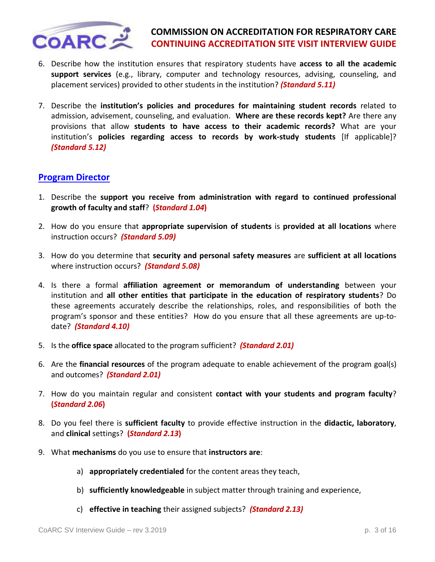

- 6. Describe how the institution ensures that respiratory students have **access to all the academic support services** (e.g., library, computer and technology resources, advising, counseling, and placement services) provided to other students in the institution? *(Standard 5.11)*
- 7. Describe the **institution's policies and procedures for maintaining student records** related to admission, advisement, counseling, and evaluation. **Where are these records kept?** Are there any provisions that allow **students to have access to their academic records?** What are your institution's **policies regarding access to records by work-study students** [If applicable]? *(Standard 5.12)*

## <span id="page-2-0"></span>**[Program Director](#page-0-0)**

- 1. Describe the **support you receive from administration with regard to continued professional growth of faculty and staff**? **(***Standard 1.04***)**
- 2. How do you ensure that **appropriate supervision of students** is **provided at all locations** where instruction occurs? *(Standard 5.09)*
- 3. How do you determine that **security and personal safety measures** are **sufficient at all locations** where instruction occurs? *(Standard 5.08)*
- 4. Is there a formal **affiliation agreement or memorandum of understanding** between your institution and **all other entities that participate in the education of respiratory students**? Do these agreements accurately describe the relationships, roles, and responsibilities of both the program's sponsor and these entities? How do you ensure that all these agreements are up-todate? *(Standard 4.10)*
- 5. Is the **office space** allocated to the program sufficient? *(Standard 2.01)*
- 6. Are the **financial resources** of the program adequate to enable achievement of the program goal(s) and outcomes? *(Standard 2.01)*
- 7. How do you maintain regular and consistent **contact with your students and program faculty**? **(***Standard 2.06***)**
- 8. Do you feel there is **sufficient faculty** to provide effective instruction in the **didactic, laboratory**, and **clinical** settings? **(***Standard 2.13***)**
- 9. What **mechanisms** do you use to ensure that **instructors are**:
	- a) **appropriately credentialed** for the content areas they teach,
	- b) **sufficiently knowledgeable** in subject matter through training and experience,
	- c) **effective in teaching** their assigned subjects? *(Standard 2.13)*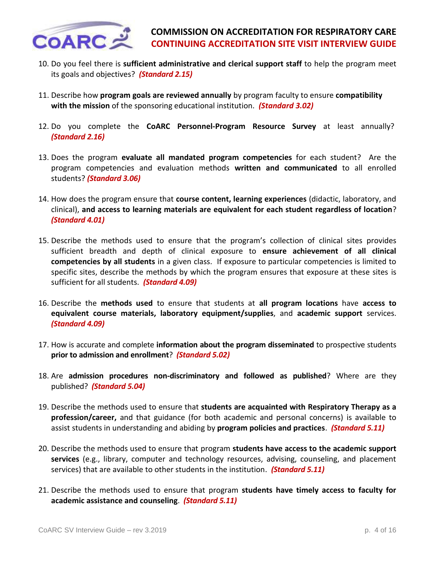

- 10. Do you feel there is **sufficient administrative and clerical support staff** to help the program meet its goals and objectives? *(Standard 2.15)*
- 11. Describe how **program goals are reviewed annually** by program faculty to ensure **compatibility with the mission** of the sponsoring educational institution. *(Standard 3.02)*
- 12. Do you complete the **CoARC Personnel-Program Resource Survey** at least annually? *(Standard 2.16)*
- 13. Does the program **evaluate all mandated program competencies** for each student? Are the program competencies and evaluation methods **written and communicated** to all enrolled students? *(Standard 3.06)*
- 14. How does the program ensure that **course content, learning experiences** (didactic, laboratory, and clinical), **and access to learning materials are equivalent for each student regardless of location**? *(Standard 4.01)*
- 15. Describe the methods used to ensure that the program's collection of clinical sites provides sufficient breadth and depth of clinical exposure to **ensure achievement of all clinical competencies by all students** in a given class. If exposure to particular competencies is limited to specific sites, describe the methods by which the program ensures that exposure at these sites is sufficient for all students. *(Standard 4.09)*
- 16. Describe the **methods used** to ensure that students at **all program locations** have **access to equivalent course materials, laboratory equipment/supplies**, and **academic support** services. *(Standard 4.09)*
- 17. How is accurate and complete **information about the program disseminated** to prospective students **prior to admission and enrollment**? *(Standard 5.02)*
- 18. Are **admission procedures non-discriminatory and followed as published**? Where are they published? *(Standard 5.04)*
- 19. Describe the methods used to ensure that **students are acquainted with Respiratory Therapy as a profession/career,** and that guidance (for both academic and personal concerns) is available to assist students in understanding and abiding by **program policies and practices**. *(Standard 5.11)*
- 20. Describe the methods used to ensure that program **students have access to the academic support services** (e.g., library, computer and technology resources, advising, counseling, and placement services) that are available to other students in the institution. *(Standard 5.11)*
- 21. Describe the methods used to ensure that program **students have timely access to faculty for academic assistance and counseling**. *(Standard 5.11)*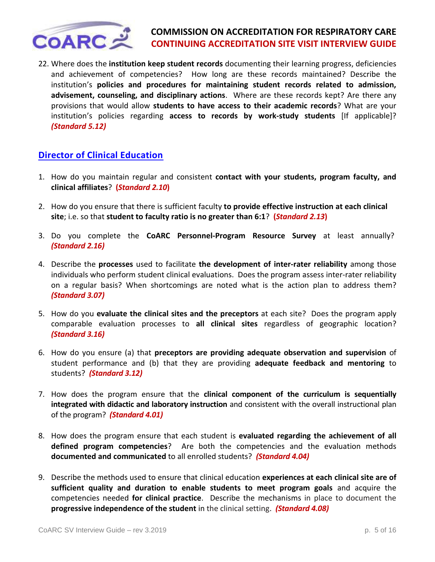

22. Where does the **institution keep student records** documenting their learning progress, deficiencies and achievement of competencies? How long are these records maintained? Describe the institution's **policies and procedures for maintaining student records related to admission, advisement, counseling, and disciplinary actions**. Where are these records kept? Are there any provisions that would allow **students to have access to their academic records**? What are your institution's policies regarding **access to records by work-study students** [If applicable]? *(Standard 5.12)*

# <span id="page-4-0"></span>**[Director of Clinical Education](#page-0-0)**

- 1. How do you maintain regular and consistent **contact with your students, program faculty, and clinical affiliates**? **(***Standard 2.10***)**
- 2. How do you ensure that there is sufficient faculty **to provide effective instruction at each clinical site**; i.e. so that **student to faculty ratio is no greater than 6:1**? **(***Standard 2.13***)**
- 3. Do you complete the **CoARC Personnel-Program Resource Survey** at least annually? *(Standard 2.16)*
- 4. Describe the **processes** used to facilitate **the development of inter-rater reliability** among those individuals who perform student clinical evaluations. Does the program assess inter-rater reliability on a regular basis? When shortcomings are noted what is the action plan to address them? *(Standard 3.07)*
- 5. How do you **evaluate the clinical sites and the preceptors** at each site? Does the program apply comparable evaluation processes to **all clinical sites** regardless of geographic location? *(Standard 3.16)*
- 6. How do you ensure (a) that **preceptors are providing adequate observation and supervision** of student performance and (b) that they are providing **adequate feedback and mentoring** to students? *(Standard 3.12)*
- 7. How does the program ensure that the **clinical component of the curriculum is sequentially integrated with didactic and laboratory instruction** and consistent with the overall instructional plan of the program? *(Standard 4.01)*
- 8. How does the program ensure that each student is **evaluated regarding the achievement of all defined program competencies**? Are both the competencies and the evaluation methods **documented and communicated** to all enrolled students? *(Standard 4.04)*
- 9. Describe the methods used to ensure that clinical education **experiences at each clinical site are of sufficient quality and duration to enable students to meet program goals** and acquire the competencies needed **for clinical practice**. Describe the mechanisms in place to document the **progressive independence of the student** in the clinical setting. *(Standard 4.08)*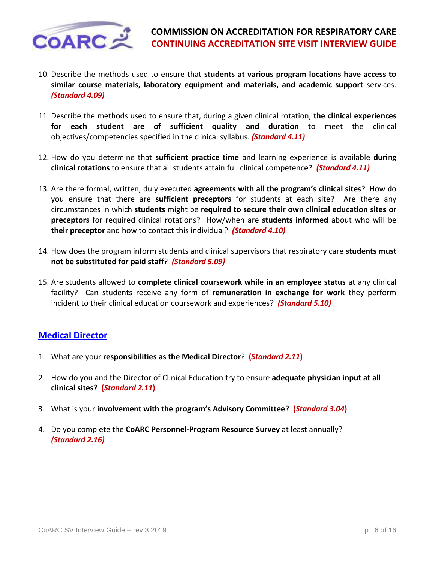

- 10. Describe the methods used to ensure that **students at various program locations have access to similar course materials, laboratory equipment and materials, and academic support** services. *(Standard 4.09)*
- 11. Describe the methods used to ensure that, during a given clinical rotation, **the clinical experiences for each student are of sufficient quality and duration** to meet the clinical objectives/competencies specified in the clinical syllabus. *(Standard 4.11)*
- 12. How do you determine that **sufficient practice time** and learning experience is available **during clinical rotations** to ensure that all students attain full clinical competence? *(Standard 4.11)*
- 13. Are there formal, written, duly executed **agreements with all the program's clinical sites**? How do you ensure that there are **sufficient preceptors** for students at each site? Are there any circumstances in which **students** might be **required to secure their own clinical education sites or preceptors** for required clinical rotations? How/when are **students informed** about who will be **their preceptor** and how to contact this individual? *(Standard 4.10)*
- 14. How does the program inform students and clinical supervisors that respiratory care **students must not be substituted for paid staff**? *(Standard 5.09)*
- 15. Are students allowed to **complete clinical coursework while in an employee status** at any clinical facility? Can students receive any form of **remuneration in exchange for work** they perform incident to their clinical education coursework and experiences? *(Standard 5.10)*

### <span id="page-5-0"></span>**[Medical Director](#page-0-0)**

- 1. What are your **responsibilities as the Medical Director**? **(***Standard 2.11***)**
- 2. How do you and the Director of Clinical Education try to ensure **adequate physician input at all clinical sites**? **(***Standard 2.11***)**
- 3. What is your **involvement with the program's Advisory Committee**? **(***Standard 3.04***)**
- 4. Do you complete the **CoARC Personnel-Program Resource Survey** at least annually? *(Standard 2.16)*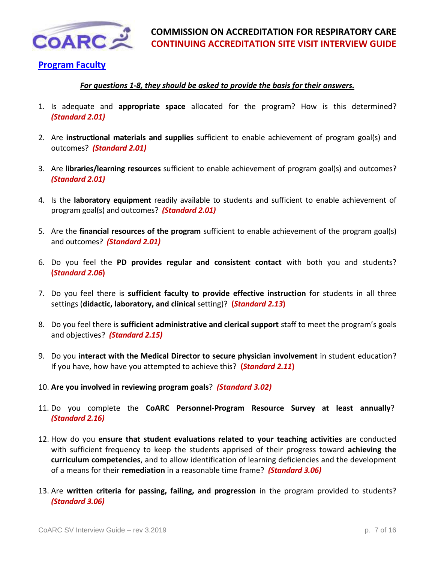

## <span id="page-6-0"></span>**[Program Faculty](#page-0-0)**

### *For questions 1-8, they should be asked to provide the basis for their answers.*

- 1. Is adequate and **appropriate space** allocated for the program? How is this determined? *(Standard 2.01)*
- 2. Are **instructional materials and supplies** sufficient to enable achievement of program goal(s) and outcomes? *(Standard 2.01)*
- 3. Are **libraries/learning resources** sufficient to enable achievement of program goal(s) and outcomes? *(Standard 2.01)*
- 4. Is the **laboratory equipment** readily available to students and sufficient to enable achievement of program goal(s) and outcomes? *(Standard 2.01)*
- 5. Are the **financial resources of the program** sufficient to enable achievement of the program goal(s) and outcomes? *(Standard 2.01)*
- 6. Do you feel the **PD provides regular and consistent contact** with both you and students? **(***Standard 2.06***)**
- 7. Do you feel there is **sufficient faculty to provide effective instruction** for students in all three settings (**didactic, laboratory, and clinical** setting)? **(***Standard 2.13***)**
- 8. Do you feel there is **sufficient administrative and clerical support** staff to meet the program's goals and objectives? *(Standard 2.15)*
- 9. Do you **interact with the Medical Director to secure physician involvement** in student education? If you have, how have you attempted to achieve this? **(***Standard 2.11***)**
- 10. **Are you involved in reviewing program goals**? *(Standard 3.02)*
- 11. Do you complete the **CoARC Personnel-Program Resource Survey at least annually**? *(Standard 2.16)*
- 12. How do you **ensure that student evaluations related to your teaching activities** are conducted with sufficient frequency to keep the students apprised of their progress toward **achieving the curriculum competencies**, and to allow identification of learning deficiencies and the development of a means for their **remediation** in a reasonable time frame? *(Standard 3.06)*
- 13. Are **written criteria for passing, failing, and progression** in the program provided to students? *(Standard 3.06)*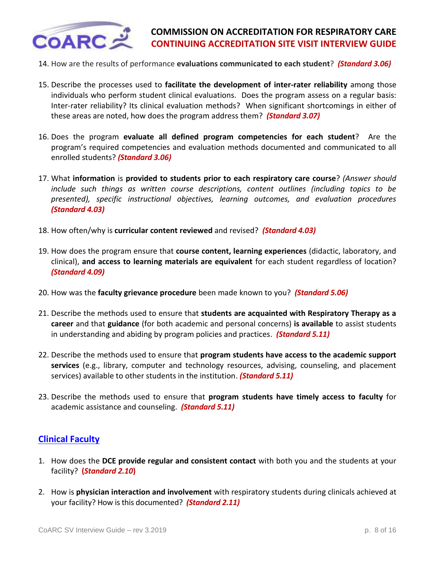

- 14. How are the results of performance **evaluations communicated to each student**? *(Standard 3.06)*
- 15. Describe the processes used to **facilitate the development of inter-rater reliability** among those individuals who perform student clinical evaluations. Does the program assess on a regular basis: Inter-rater reliability? Its clinical evaluation methods? When significant shortcomings in either of these areas are noted, how does the program address them? *(Standard 3.07)*
- 16. Does the program **evaluate all defined program competencies for each student**? Are the program's required competencies and evaluation methods documented and communicated to all enrolled students? *(Standard 3.06)*
- 17. What **information** is **provided to students prior to each respiratory care course**? *(Answer should include such things as written course descriptions, content outlines (including topics to be presented), specific instructional objectives, learning outcomes, and evaluation procedures (Standard 4.03)*
- 18. How often/why is **curricular content reviewed** and revised? *(Standard 4.03)*
- 19. How does the program ensure that **course content, learning experiences** (didactic, laboratory, and clinical), **and access to learning materials are equivalent** for each student regardless of location? *(Standard 4.09)*
- 20. How was the **faculty grievance procedure** been made known to you? *(Standard 5.06)*
- 21. Describe the methods used to ensure that **students are acquainted with Respiratory Therapy as a career** and that **guidance** (for both academic and personal concerns) **is available** to assist students in understanding and abiding by program policies and practices. *(Standard 5.11)*
- 22. Describe the methods used to ensure that **program students have access to the academic support services** (e.g., library, computer and technology resources, advising, counseling, and placement services) available to other students in the institution. *(Standard 5.11)*
- 23. Describe the methods used to ensure that **program students have timely access to faculty** for academic assistance and counseling. *(Standard 5.11)*

### <span id="page-7-0"></span>**[Clinical Faculty](#page-0-0)**

- 1. How does the **DCE provide regular and consistent contact** with both you and the students at your facility? **(***Standard 2.10***)**
- 2. How is **physician interaction and involvement** with respiratory students during clinicals achieved at your facility? How is this documented? *(Standard 2.11)*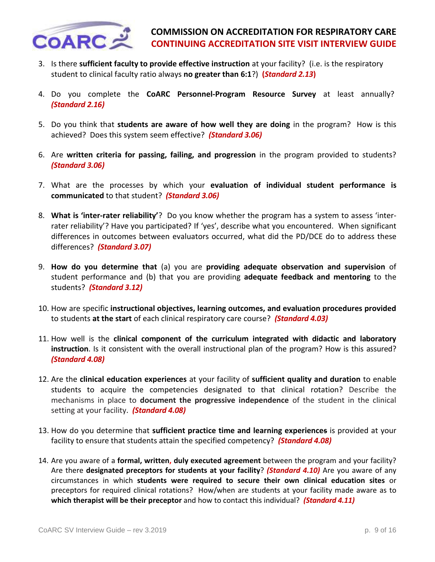

- 3. Is there **sufficient faculty to provide effective instruction** at your facility? (i.e. is the respiratory student to clinical faculty ratio always **no greater than 6:1**?) **(***Standard 2.13***)**
- 4. Do you complete the **CoARC Personnel-Program Resource Survey** at least annually? *(Standard 2.16)*
- 5. Do you think that **students are aware of how well they are doing** in the program? How is this achieved? Does this system seem effective? *(Standard 3.06)*
- 6. Are **written criteria for passing, failing, and progression** in the program provided to students? *(Standard 3.06)*
- 7. What are the processes by which your **evaluation of individual student performance is communicated** to that student? *(Standard 3.06)*
- 8. **What is 'inter-rater reliability'**? Do you know whether the program has a system to assess 'interrater reliability'? Have you participated? If 'yes', describe what you encountered. When significant differences in outcomes between evaluators occurred, what did the PD/DCE do to address these differences? *(Standard 3.07)*
- 9. **How do you determine that** (a) you are **providing adequate observation and supervision** of student performance and (b) that you are providing **adequate feedback and mentoring** to the students? *(Standard 3.12)*
- 10. How are specific **instructional objectives, learning outcomes, and evaluation procedures provided** to students **at the start** of each clinical respiratory care course? *(Standard 4.03)*
- 11. How well is the **clinical component of the curriculum integrated with didactic and laboratory instruction**. Is it consistent with the overall instructional plan of the program? How is this assured? *(Standard 4.08)*
- 12. Are the **clinical education experiences** at your facility of **sufficient quality and duration** to enable students to acquire the competencies designated to that clinical rotation? Describe the mechanisms in place to **document the progressive independence** of the student in the clinical setting at your facility. *(Standard 4.08)*
- 13. How do you determine that **sufficient practice time and learning experiences** is provided at your facility to ensure that students attain the specified competency? *(Standard 4.08)*
- 14. Are you aware of a **formal, written, duly executed agreement** between the program and your facility? Are there **designated preceptors for students at your facility**? *(Standard 4.10)* Are you aware of any circumstances in which **students were required to secure their own clinical education sites** or preceptors for required clinical rotations? How/when are students at your facility made aware as to **which therapist will be their preceptor** and how to contact this individual? *(Standard 4.11)*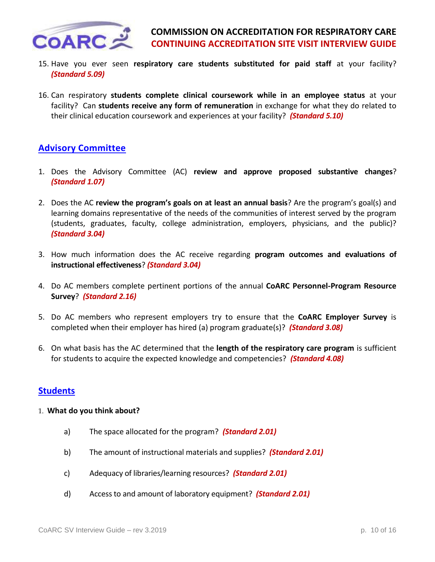

- 15. Have you ever seen **respiratory care students substituted for paid staff** at your facility? *(Standard 5.09)*
- 16. Can respiratory **students complete clinical coursework while in an employee status** at your facility? Can **students receive any form of remuneration** in exchange for what they do related to their clinical education coursework and experiences at your facility? *(Standard 5.10)*

# <span id="page-9-0"></span>**[Advisory Committee](#page-0-0)**

- 1. Does the Advisory Committee (AC) **review and approve proposed substantive changes**? *(Standard 1.07)*
- 2. Does the AC **review the program's goals on at least an annual basis**? Are the program's goal(s) and learning domains representative of the needs of the communities of interest served by the program (students, graduates, faculty, college administration, employers, physicians, and the public)? *(Standard 3.04)*
- 3. How much information does the AC receive regarding **program outcomes and evaluations of instructional effectiveness**? *(Standard 3.04)*
- 4. Do AC members complete pertinent portions of the annual **CoARC Personnel-Program Resource Survey**? *(Standard 2.16)*
- 5. Do AC members who represent employers try to ensure that the **CoARC Employer Survey** is completed when their employer has hired (a) program graduate(s)? *(Standard 3.08)*
- 6. On what basis has the AC determined that the **length of the respiratory care program** is sufficient for students to acquire the expected knowledge and competencies? *(Standard 4.08)*

### <span id="page-9-1"></span>**[Students](#page-0-0)**

#### 1. **What do you think about?**

- a) The space allocated for the program? *(Standard 2.01)*
- b) The amount of instructional materials and supplies? *(Standard 2.01)*
- c) Adequacy of libraries/learning resources? *(Standard 2.01)*
- d) Access to and amount of laboratory equipment? *(Standard 2.01)*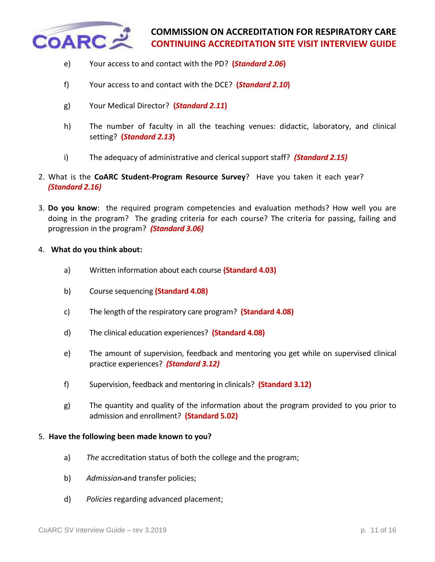

- e) Your access to and contact with the PD? **(***Standard 2.06***)**
- f) Your access to and contact with the DCE? **(***Standard 2.10***)**
- g) Your Medical Director? **(***Standard 2.11***)**
- h) The number of faculty in all the teaching venues: didactic, laboratory, and clinical setting? **(***Standard 2.13***)**
- i) The adequacy of administrative and clerical support staff? *(Standard 2.15)*
- 2. What is the **CoARC Student-Program Resource Survey**? Have you taken it each year? *(Standard 2.16)*
- 3. **Do you know**: the required program competencies and evaluation methods? How well you are doing in the program? The grading criteria for each course? The criteria for passing, failing and progression in the program? *(Standard 3.06)*
- 4. **What do you think about:**
	- a) Written information about each course **(Standard 4.03)**
	- b) Course sequencing **(Standard 4.08)**
	- c) The length of the respiratory care program? **(Standard 4.08)**
	- d) The clinical education experiences? **(Standard 4.08)**
	- e) The amount of supervision, feedback and mentoring you get while on supervised clinical practice experiences? *(Standard 3.12)*
	- f) Supervision, feedback and mentoring in clinicals? **(Standard 3.12)**
	- g) The quantity and quality of the information about the program provided to you prior to admission and enrollment? **(Standard 5.02)**

#### 5. **Have the following been made known to you?**

- a) *The* accreditation status of both the college and the program;
- b) *Admission* and transfer policies;
- d) *Policies* regarding advanced placement;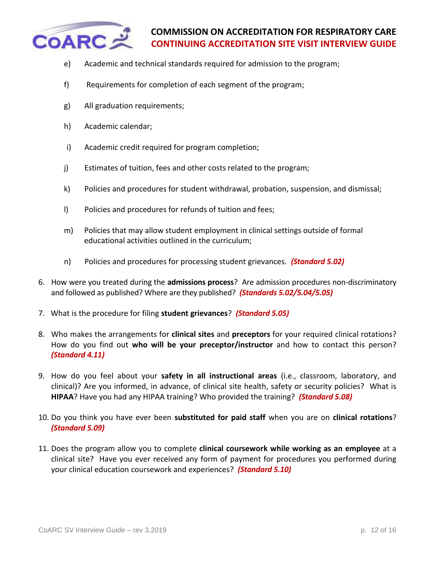

- e) Academic and technical standards required for admission to the program;
- f) Requirements for completion of each segment of the program;
- g) All graduation requirements;
- h) Academic calendar;
- i) Academic credit required for program completion;
- j) Estimates of tuition, fees and other costs related to the program;
- k) Policies and procedures for student withdrawal, probation, suspension, and dismissal;
- l) Policies and procedures for refunds of tuition and fees;
- m) Policies that may allow student employment in clinical settings outside of formal educational activities outlined in the curriculum;
- n)Policies and procedures for processing student grievances. *(Standard 5.02)*
- 6. How were you treated during the **admissions process**? Are admission procedures non-discriminatory and followed as published? Where are they published? *(Standards 5.02/5.04/5.05)*
- 7. What is the procedure for filing **student grievances**? *(Standard 5.05)*
- 8. Who makes the arrangements for **clinical sites** and **preceptors** for your required clinical rotations? How do you find out **who will be your preceptor/instructor** and how to contact this person? *(Standard 4.11)*
- 9. How do you feel about your **safety in all instructional areas** (i.e., classroom, laboratory, and clinical)? Are you informed, in advance, of clinical site health, safety or security policies? What is **HIPAA**? Have you had any HIPAA training? Who provided the training? *(Standard 5.08)*
- 10. Do you think you have ever been **substituted for paid staff** when you are on **clinical rotations**? *(Standard 5.09)*
- 11. Does the program allow you to complete **clinical coursework while working as an employee** at a clinical site? Have you ever received any form of payment for procedures you performed during your clinical education coursework and experiences? *(Standard 5.10)*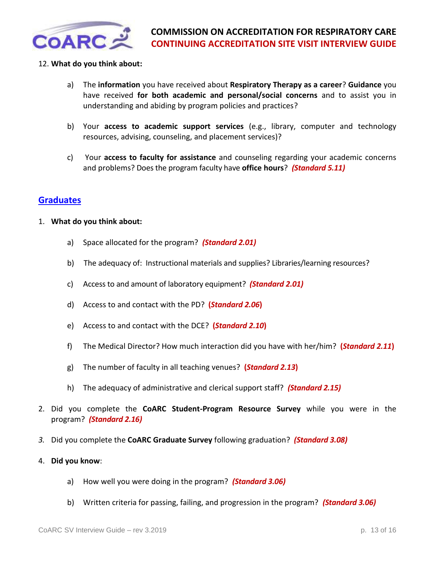

### 12. **What do you think about:**

- a) The **information** you have received about **Respiratory Therapy as a career**? **Guidance** you have received **for both academic and personal/social concerns** and to assist you in understanding and abiding by program policies and practices?
- b) Your **access to academic support services** (e.g., library, computer and technology resources, advising, counseling, and placement services)?
- c) Your **access to faculty for assistance** and counseling regarding your academic concerns and problems? Does the program faculty have **office hours**? *(Standard 5.11)*

### <span id="page-12-0"></span>**[Graduates](#page-0-0)**

#### 1. **What do you think about:**

- a) Space allocated for the program? *(Standard 2.01)*
- b) The adequacy of: Instructional materials and supplies? Libraries/learning resources?
- c) Access to and amount of laboratory equipment? *(Standard 2.01)*
- d) Access to and contact with the PD? **(***Standard 2.06***)**
- e) Access to and contact with the DCE? **(***Standard 2.10***)**
- f) The Medical Director? How much interaction did you have with her/him? **(***Standard 2.11***)**
- g) The number of faculty in all teaching venues? **(***Standard 2.13***)**
- h) The adequacy of administrative and clerical support staff? *(Standard 2.15)*
- 2. Did you complete the **CoARC Student-Program Resource Survey** while you were in the program? *(Standard 2.16)*
- *3.* Did you complete the **CoARC Graduate Survey** following graduation? *(Standard 3.08)*
- 4. **Did you know**:
	- a) How well you were doing in the program? *(Standard 3.06)*
	- b) Written criteria for passing, failing, and progression in the program? *(Standard 3.06)*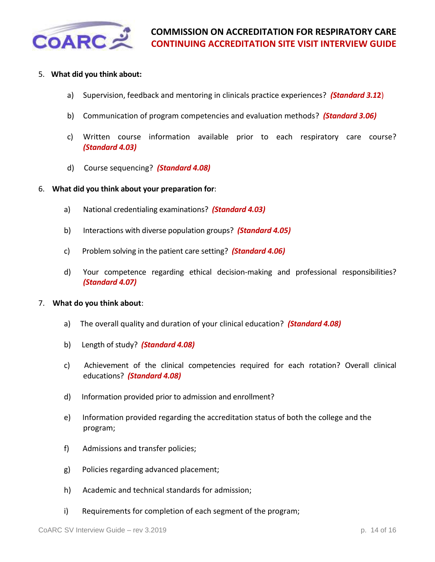

### 5. **What did you think about:**

- a) Supervision, feedback and mentoring in clinicals practice experiences? *(Standard 3.1***2**)
- b) Communication of program competencies and evaluation methods? *(Standard 3.06)*
- c) Written course information available prior to each respiratory care course? *(Standard 4.03)*
- d) Course sequencing? *(Standard 4.08)*
- 6. **What did you think about your preparation for**:
	- a) National credentialing examinations? *(Standard 4.03)*
	- b) Interactions with diverse population groups? *(Standard 4.05)*
	- c) Problem solving in the patient care setting? *(Standard 4.06)*
	- d) Your competence regarding ethical decision-making and professional responsibilities? *(Standard 4.07)*

#### 7. **What do you think about**:

- a) The overall quality and duration of your clinical education? *(Standard 4.08)*
- b) Length of study? *(Standard 4.08)*
- c) Achievement of the clinical competencies required for each rotation? Overall clinical educations? *(Standard 4.08)*
- d) Information provided prior to admission and enrollment?
- e) Information provided regarding the accreditation status of both the college and the program;
- f) Admissions and transfer policies;
- g) Policies regarding advanced placement;
- h) Academic and technical standards for admission;
- i) Requirements for completion of each segment of the program;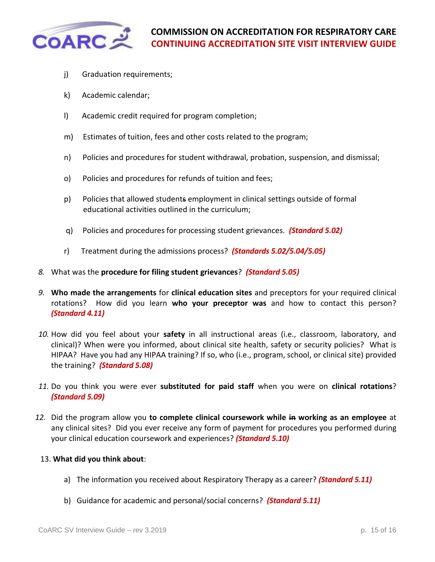

- j) Graduation requirements;
- k) Academic calendar;
- l) Academic credit required for program completion;
- m) Estimates of tuition, fees and other costs related to the program;
- n) Policies and procedures for student withdrawal, probation, suspension, and dismissal;
- o) Policies and procedures for refunds of tuition and fees;
- p) Policies that allowed students employment in clinical settings outside of formal educational activities outlined in the curriculum;
- q) Policies and procedures for processing student grievances. *(Standard 5.02)*
- r) Treatment during the admissions process? *(Standards 5.02/5.04/5.05)*
- *8.* What was the **procedure for filing student grievances**? *(Standard 5.05)*
- *9.* **Who made the arrangements** for **clinical education sites** and preceptors for your required clinical rotations? How did you learn **who your preceptor was** and how to contact this person? *(Standard 4.11)*
- *10.* How did you feel about your **safety** in all instructional areas (i.e., classroom, laboratory, and clinical)? When were you informed, about clinical site health, safety or security policies? What is HIPAA? Have you had any HIPAA training? If so, who (i.e., program, school, or clinical site) provided the training? *(Standard 5.08)*
- *11.* Do you think you were ever **substituted for paid staff** when you were on **clinical rotations**? *(Standard 5.09)*
- *12.* Did the program allow you **to complete clinical coursework while in working as an employee** at any clinical sites? Did you ever receive any form of payment for procedures you performed during your clinical education coursework and experiences? *(Standard 5.10)*

#### 13. **What did you think about**:

- a) The information you received about Respiratory Therapy as a career? *(Standard 5.11)*
- b) Guidance for academic and personal/social concerns? *(Standard 5.11)*